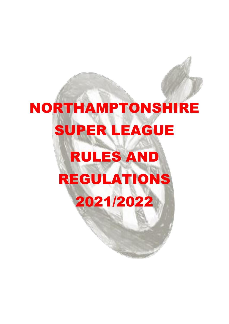# NORTHAMPTONSHIRE SUPER LEAGUE RULES AND REGULATIONS 2021/2022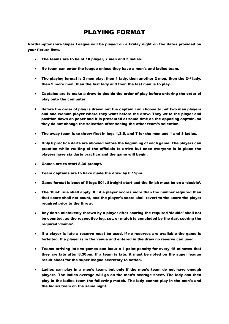## PLAYING FORMAT

Northamptonshire Super League will be played on a Friday night on the dates provided on your fixture lists.

- The teams are to be of 10 player, 7 men and 3 ladies.
- No team can enter the league unless they have a men's and ladies team.
- The playing format is 2 men play, then 1 lady, then another 2 men, then the  $2^{nd}$  lady, then 2 more men, then the last lady and then the last man is to play.
- Captains are to make a draw to decide the order of play before entering the order of play onto the computer.
- Before the order of play is drawn out the captain can choose to put two man players and one woman player where they want before the draw. They write the player and position down on paper and it is presented at same time as the opposing captain, so they do not change the selection after seeing the other team's selection.
- The away team is to throw first in legs 1,3,5, and 7 for the men and 1 and 3 ladies.
- Only 6 practice darts are allowed before the beginning of each game. The players can practice while waiting of the officials to arrive but once everyone is in place the players have six darts practice and the game will begin.
- Games are to start 8.30 prompt.
- Team captains are to have made the draw by 8.15pm.
- Game format is best of 5 legs 501. Straight start and the finish must be on a 'double'.
- The 'Bust' rule shall apply, IE: if a player scores more than the number required then that score shall not count, and the player's score shall revert to the score the player required prior to the throw.
- Any darts mistakenly thrown by a player after scoring the required 'double' shall not be counted, as the respective leg, set, or match is concluded by the dart scoring the required 'double'.
- If a player is late a reserve must be used, if no reserves are available the game is forfeited. If a player is in the venue and entered in the draw no reserve can used.
- Teams arriving late to games can incur a 1-point penalty for every 15 minutes that they are late after 8.30pm. If a team is late, it must be noted on the super league result sheet for the super league secretary to action.
- Ladies can play in a men's team, but only if the men's team do not have enough players. The ladies average will go on the men's average sheet. The lady can then play in the ladies team the following match. The lady cannot play in the men's and the ladies team on the same night.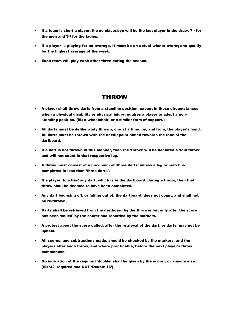- If a team is short a player, the no player/bye will be the last player in the draw.  $7<sup>th</sup>$  for the men and 3rd for the ladies.
- If a player is playing for an average, it must be an actual winner average to qualify for the highest average of the week.
- Each team will play each other three during the season.

#### THROW

- A player shall throw darts from a standing position, except in those circumstances when a physical disability or physical injury requires a player to adopt a nonstanding position. (IE: a wheelchair, or a similar form of support.)
- All darts must be deliberately thrown, one at a time, by, and from, the player's hand. All darts must be thrown with the needlepoint aimed towards the face of the dartboard.
- If a dart is not thrown in this manner, then the 'throw' will be declared a 'foul throw' and will not count in that respective leg.
- A throw must consist of a maximum of 'three darts' unless a leg or match is completed in less than 'three darts'.
- If a player 'touches' any dart, which is in the dartboard, during a throw, then that throw shall be deemed to have been completed.
- Any dart bouncing off, or falling out of, the dartboard, does not count, and shall not be re-thrown.
- Darts shall be retrieved from the dartboard by the thrower but only after the score has been 'called' by the scorer and recorded by the markers.
- A protest about the score called, after the retrieval of the dart, or darts, may not be upheld.
- All scores. and subtractions made, should be checked by the markers, and the players after each throw, and where practicable, before the next player's throw commences.
- No indication of the required 'double' shall be given by the scorer, or anyone else. (IE: '32' required and NOT 'Double 16')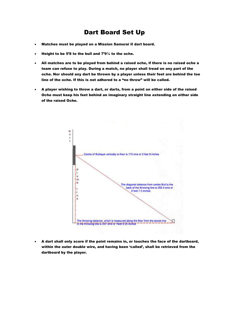### Dart Board Set Up

- Matches must be played on a Mission Samurai II dart board.
- Height to be 5'8 to the bull and  $7'9''$  to the oche.
- All matches are to be played from behind a raised oche, if there is no raised oche a team can refuse to play. During a match, no player shall tread on any part of the oche. Nor should any dart be thrown by a player unless their feet are behind the toe line of the oche. If this is not adhered to a "no throw" will be called.
- A player wishing to throw a dart, or darts, from a point on either side of the raised Oche must keep his feet behind an imaginary straight line extending on either side of the raised Oche.



• A dart shall only score if the point remains in, or touches the face of the dartboard, within the outer double wire, and having been 'called', shall be retrieved from the dartboard by the player.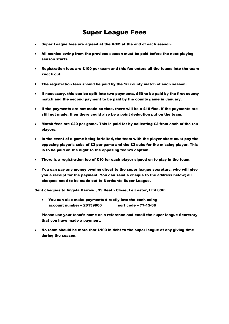## Super League Fees

- Super League fees are agreed at the AGM at the end of each season.
- All monies owing from the previous season must be paid before the next playing season starts.
- Registration fees are £100 per team and this fee enters all the teams into the team knock out.
- The registration fees should be paid by the 1st county match of each season.
- If necessary, this can be split into two payments, £50 to be paid by the first county match and the second payment to be paid by the county game in January.
- If the payments are not made on time, there will be a £10 fine. If the payments are still not made, then there could also be a point deduction put on the team.
- Match fees are £20 per game. This is paid for by collecting £2 from each of the ten players.
- In the event of a game being forfeited, the team with the player short must pay the opposing player's subs of £2 per game and the £2 subs for the missing player. This is to be paid on the night to the opposing team's captain.
- There is a registration fee of £10 for each player signed on to play in the team.
- You can pay any money owning direct to the super league secretary, who will give you a receipt for the payment. You can send a cheque to the address below; all cheques need to be made out to Northants Super League.

Sent cheques to Angela Barrow , 35 Reeth Close, Leicester, LE4 0SP.

• You can also make payments directly into the bank using account number – 26159960 sort code – 77-15-06

Please use your team's name as a reference and email the super league Secretary that you have made a payment.

• No team should be more that £100 in debt to the super league at any giving time during the season.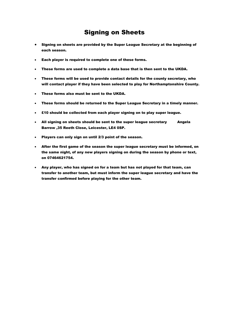## Signing on Sheets

- Signing on sheets are provided by the Super League Secretary at the beginning of each season.
- Each player is required to complete one of these forms.
- These forms are used to complete a data base that is then sent to the UKDA.
- These forms will be used to provide contact details for the county secretary, who will contact player if they have been selected to play for Northamptonshire County.
- These forms also must be sent to the UKDA.
- These forms should be returned to the Super League Secretary in a timely manner.
- £10 should be collected from each player signing on to play super league.
- All signing on sheets should be sent to the super league secretary Angela Barrow ,35 Reeth Close, Leicester, LE4 0SP.
- Players can only sign on until 2/3 point of the season.
- After the first game of the season the super league secretary must be informed, on the same night, of any new players signing on during the season by phone or text, on 07464621754.
- Any player, who has signed on for a team but has not played for that team, can transfer to another team, but must inform the super league secretary and have the transfer confirmed before playing for the other team.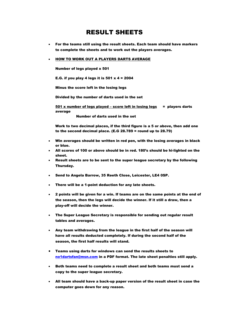## RESULT SHEETS

- For the teams still using the result sheets. Each team should have markers to complete the sheets and to work out the players averages.
- HOW TO WORK OUT A PLAYERS DARTS AVERAGE

Number of legs played x 501

E.G. if you play 4 legs it is 501  $\times$  4 = 2004

Minus the score left in the losing legs

Divided by the number of darts used in the set

 $501$  x number of legs played – score left in losing legs = players darts average

Number of darts used in the set

Work to two decimal places, if the third figure is a 5 or above, then add one to the second decimal place. (E.G 28.789 = round up to 28.79)

- Win averages should be written in red pen, with the losing averages in black or blue.
- All scores of 100 or above should be in red. 180's should be hi-lighted on the sheet.
- Result sheets are to be sent to the super league secretary by the following Thursday.
- Send to Angela Barrow, 35 Reeth Close, Leicester, LE4 0SP.
- There will be a 1-point deduction for any late sheets.
- 2 points will be given for a win. If teams are on the same points at the end of the season, then the legs will decide the winner. If it still a draw, then a play-off will decide the winner.
- The Super League Secretary is responsible for sending out regular result tables and averages.
- Any team withdrawing from the league in the first half of the season will have all results deducted completely. If during the second half of the season, the first half results will stand.
- Teams using darts for windows can send the results sheets to [no1dartsfan@msn.com](mailto:no1dartsfan@msn.com) in a PDF format. The late sheet penalties still apply.
- Both teams need to complete a result sheet and both teams must send a copy to the super league secretary.
- All team should have a back-up paper version of the result sheet in case the computer goes down for any reason.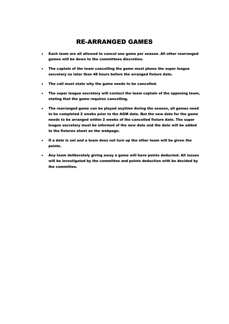## RE-ARRANGED GAMES

- Each team are all allowed to cancel one game per season. All other rearranged games will be down to the committees discretion.
- The captain of the team cancelling the game must phone the super league secretary no later than 48 hours before the arranged fixture date.
- The call must state why the game needs to be cancelled.
- The super league secretary will contact the team captain of the opposing team, stating that the game requires cancelling.
- The rearranged game can be played anytime during the season, all games need to be completed 2 weeks prior to the AGM date. But the new date for the game needs to be arranged within 2 weeks of the cancelled fixture date. The super league secretary must be informed of the new date and the date will be added to the fixtures sheet on the webpage.
- If a date is set and a team does not turn up the other team will be given the points.
- Any team deliberately giving away a game will have points deducted. All issues will be investigated by the committee and points deduction with be decided by the committee.